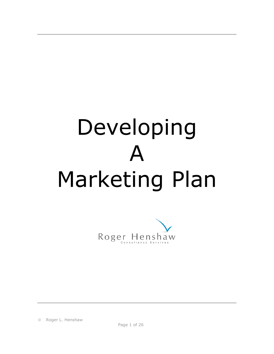# Developing  $\blacktriangle$ Marketing Plan



Roger L. Henshaw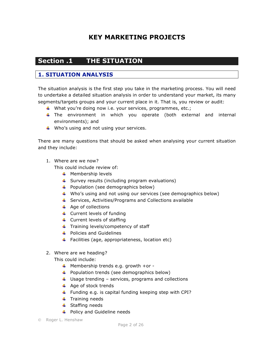# **KEY MARKETING PROJECTS**

# **Section .1 THE SITUATION**

## **1. SITUATION ANALYSIS**

The situation analysis is the first step you take in the marketing process. You will need to undertake a detailed situation analysis in order to understand your market, its many segments/targets groups and your current place in it. That is, you review or audit:

- What you're doing now i.e. your services, programmes, etc.;
- The environment in which you operate (both external and internal environments); and
- $\downarrow$  Who's using and not using your services.

There are many questions that should be asked when analysing your current situation and they include:

1. Where are we now?

This could include review of:

- $\textcolor{red}{\textbf{4}}$  Membership levels
- $\uparrow$  Survey results (including program evaluations)
- $\downarrow$  Population (see demographics below)
- Who's using and not using our services (see demographics below)
- $\ddotmark$  Services, Activities/Programs and Collections available
- $\overline{\phantom{a}}$  Age of collections
- $\leftarrow$  Current levels of funding
- $\downarrow$  Current levels of staffing
- $\ddot{\phantom{1}}$  Training levels/competency of staff
- **↓** Policies and Guidelines
- $\ddot{+}$  Facilities (age, appropriateness, location etc)
- 2. Where are we heading?

This could include:

- $\frac{1}{\sqrt{2}}$  Membership trends e.g. growth +or -
- $\ddotmark$  Population trends (see demographics below)
- $\ddot{+}$  Usage trending services, programs and collections
- $\overline{\phantom{a}}$  Age of stock trends
- Funding e.g. is capital funding keeping step with CPI?
- $\ddot{\phantom{1}}$  Training needs
- $\ddot{\bullet}$  Staffing needs
- **↓** Policy and Guideline needs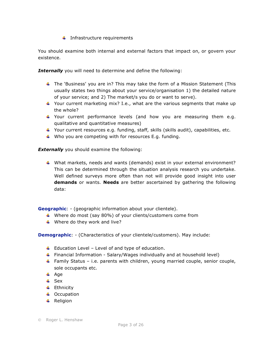$\ddot{\bullet}$  Infrastructure requirements

You should examine both internal and external factors that impact on, or govern your existence.

**Internally** you will need to determine and define the following:

- $\ddot{\phantom{1}}$  The 'Business' you are in? This may take the form of a Mission Statement (This usually states two things about your service/organisation 1) the detailed nature of your service; and 2) The market/s you do or want to serve).
- $\ddotmark$  Your current marketing mix? I.e., what are the various segments that make up the whole?
- Your current performance levels (and how you are measuring them e.g. qualitative and quantitative measures)
- $\ddot{\phantom{1}}$  Your current resources e.g. funding, staff, skills (skills audit), capabilities, etc.
- $\downarrow$  Who you are competing with for resources E.g. funding.

**Externally** you should examine the following:

 $\ddotplus$  What markets, needs and wants (demands) exist in your external environment? This can be determined through the situation analysis research you undertake. Well defined surveys more often than not will provide good insight into user **demands** or wants. **Needs** are better ascertained by gathering the following data:

**Geographic**: - (geographic information about your clientele).

- Where do most (say 80%) of your clients/customers come from
- $\downarrow$  Where do they work and live?

**Demographic**: - (Characteristics of your clientele/customers). May include:

- $\ddot{+}$  Education Level Level of and type of education.
- **Financial Information Salary/Wages individually and at household level)**
- **Family Status i.e. parents with children, young married couple, senior couple,** sole occupants etc.
- $\overline{\phantom{a}}$  Age
- $\overline{\phantom{a}}$  Sex
- $\ddot{=}$  Ethnicity
- $\downarrow$  Occupation
- $\leftarrow$  Religion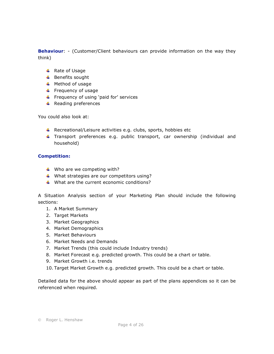**Behaviour**: - (Customer/Client behaviours can provide information on the way they think)

- $\overline{\phantom{a}}$  Rate of Usage
- $\overline{\phantom{a}}$  Benefits sought
- $\textcolor{red}{\textbf{#}}$  Method of usage
- $\ddot{\bullet}$  Frequency of usage
- $\ddot{+}$  Frequency of using 'paid for' services
- $\ddot{+}$  Reading preferences

You could also look at:

- $\uparrow$  Recreational/Leisure activities e.g. clubs, sports, hobbies etc
- **Transport preferences e.g. public transport, car ownership (individual and** household)

#### **Competition:**

- $\downarrow$  Who are we competing with?
- $\downarrow$  What strategies are our competitors using?
- $\downarrow$  What are the current economic conditions?

A Situation Analysis section of your Marketing Plan should include the following sections:

- 1. A Market Summary
- 2. Target Markets
- 3. Market Geographics
- 4. Market Demographics
- 5. Market Behaviours
- 6. Market Needs and Demands
- 7. Market Trends (this could include Industry trends)
- 8. Market Forecast e.g. predicted growth. This could be a chart or table.
- 9. Market Growth i.e. trends
- 10. Target Market Growth e.g. predicted growth. This could be a chart or table.

Detailed data for the above should appear as part of the plans appendices so it can be referenced when required.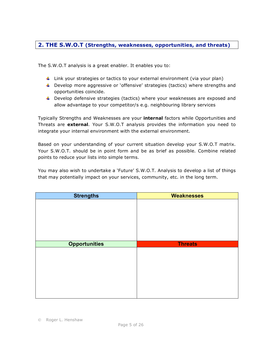## **2. THE S.W.O.T (Strengths, weaknesses, opportunities, and threats)**

The S.W.O.T analysis is a great enabler. It enables you to:

- $\ddot{\phantom{1}}$  Link your strategies or tactics to your external environment (via your plan)
- **L** Develop more aggressive or 'offensive' strategies (tactics) where strengths and opportunities coincide.
- **Develop defensive strategies (tactics) where your weaknesses are exposed and** allow advantage to your competitor/s e.g. neighbouring library services

Typically Strengths and Weaknesses are your **internal** factors while Opportunities and Threats are **external**. Your S.W.O.T analysis provides the information you need to integrate your internal environment with the external environment.

Based on your understanding of your current situation develop your S.W.O.T matrix. Your S.W.O.T. should be in point form and be as brief as possible. Combine related points to reduce your lists into simple terms.

You may also wish to undertake a 'Future' S.W.O.T. Analysis to develop a list of things that may potentially impact on your services, community, etc. in the long term.

| <b>Strengths</b>     | <b>Weaknesses</b> |
|----------------------|-------------------|
|                      |                   |
|                      |                   |
|                      |                   |
|                      |                   |
|                      |                   |
|                      |                   |
| <b>Opportunities</b> | <b>Threats</b>    |
|                      |                   |
|                      |                   |
|                      |                   |
|                      |                   |
|                      |                   |
|                      |                   |
|                      |                   |
|                      |                   |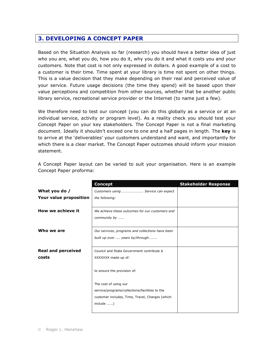## **3. DEVELOPING A CONCEPT PAPER**

Based on the Situation Analysis so far (research) you should have a better idea of just who you are, what you do, how you do it, why you do it and what it costs you and your customers. Note that cost is not only expressed in dollars. A good example of a cost to a customer is their time. Time spent at your library is time not spent on other things. This is a value decision that they make depending on their real and perceived value of your service. Future usage decisions (the time they spend) will be based upon their value perceptions and competition from other sources, whether that be another public library service, recreational service provider or the Internet (to name just a few).

We therefore need to test our concept (you can do this globally as a service or at an individual service, activity or program level). As a reality check you should test your Concept Paper on your key stakeholders. The Concept Paper is not a final marketing document. Ideally it shouldn't exceed one to one and a half pages in length. The **key** is to arrive at the 'deliverables' your customers understand and want, and importantly for which there is a clear market. The Concept Paper outcomes should inform your mission statement.

|                           | <b>Concept</b>                                   | <b>Stakeholder Response</b> |
|---------------------------|--------------------------------------------------|-----------------------------|
| What you do /             | Customers using  Service can expect              |                             |
| Your value proposition    | the following:                                   |                             |
|                           |                                                  |                             |
| How we achieve it         | We achieve these outcomes for our customers and  |                             |
|                           | community by                                     |                             |
|                           |                                                  |                             |
| Who we are                | Our services, programs and collections have been |                             |
|                           | built up over  years by/through                  |                             |
| <b>Real and perceived</b> | Council and State Government contribute \$       |                             |
| costs                     | XXXXXX made up of:                               |                             |
|                           |                                                  |                             |
|                           | to ensure the provision of:                      |                             |
|                           | The cost of using our                            |                             |
|                           | service/programs/collections/facilities to the   |                             |
|                           | customer includes, Time, Travel, Charges (which  |                             |
|                           | include )                                        |                             |
|                           |                                                  |                             |

A Concept Paper layout can be varied to suit your organisation. Here is an example Concept Paper proforma: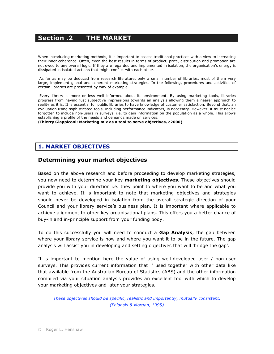# **Section .2 THE MARKET**

When introducing marketing methods, it is important to assess traditional practices with a view to increasing their inner coherence. Often, even the best results in terms of product, price, distribution and promotion are not owed to any overall logic. If they are regarded and implemented in isolation, the organisation's energy is dissipated in isolated actions that might conflict with each other.

As far as may be deduced from research literature, only a small number of libraries, most of them very large, implement global and coherent marketing strategies. In the following, procedures and activities of certain libraries are presented by way of example.

Every library is more or less well informed about its environment. By using marketing tools, libraries progress from having just subjective impressions towards an analysis allowing them a nearer approach to reality as it is. It is essential for public libraries to have knowledge of customer satisfaction. Beyond that, an evaluation using sophisticated tools, including performance indicators, is necessary. However, it must not be forgotten to include non-users in surveys, i.e. to gain information on the population as a whole. This allows establishing a profile of the needs and demands made on services.

(**Thierry Giappiconi: Marketing mix as a tool to serve objectives, c2000)**

## **1. MARKET OBJECTIVES**

## **Determining your market objectives**

Based on the above research and before proceeding to develop marketing strategies, you now need to determine your key **marketing objectives**. These objectives should provide you with your direction i.e. they point to where you want to be and what you want to achieve. It is important to note that marketing objectives and strategies should never be developed in isolation from the overall strategic direction of your Council and your library service's business plan. It is important where applicable to achieve alignment to other key organisational plans. This offers you a better chance of buy-in and in-principle support from your funding body.

To do this successfully you will need to conduct a **Gap Analysis**, the gap between where your library service is now and where you want it to be in the future. The gap analysis will assist you in developing and setting objectives that will 'bridge the gap'.

It is important to mention here the value of using well-developed user / non-user surveys. This provides current information that if used together with other data like that available from the Australian Bureau of Statistics (ABS) and the other information compiled via your situation analysis provides an excellent tool with which to develop your marketing objectives and later your strategies.

*These objectives should be specific, realistic and importantly, mutually consistent. (Polonski & Morgan, 1995)*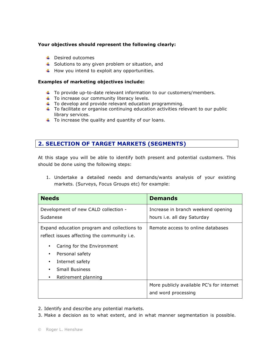#### **Your objectives should represent the following clearly:**

- **L** Desired outcomes
- $\ddot{+}$  Solutions to any given problem or situation, and
- $\ddotplus$  How you intend to exploit any opportunities.

#### **Examples of marketing objectives include:**

- $\ddot{\phantom{1}}$  To provide up-to-date relevant information to our customers/members.
- $\ddot{\phantom{1}}$  To increase our community literacy levels.
- $\ddot{\phantom{1}}$  To develop and provide relevant education programming.
- $\ddot{\phantom{1}}$  To facilitate or organise continuing education activities relevant to our public library services.
- $\ddot{\phantom{1}}$  To increase the quality and quantity of our loans.

## **2. SELECTION OF TARGET MARKETS (SEGMENTS)**

At this stage you will be able to identify both present and potential customers. This should be done using the following steps:

1. Undertake a detailed needs and demands/wants analysis of your existing markets. (Surveys, Focus Groups etc) for example:

| <b>Needs</b>                                                                               | <b>Demands</b>                                                   |  |
|--------------------------------------------------------------------------------------------|------------------------------------------------------------------|--|
| Development of new CALD collection -                                                       | Increase in branch weekend opening                               |  |
| Sudanese                                                                                   | hours <i>i.e.</i> all day Saturday                               |  |
| Expand education program and collections to<br>reflect issues affecting the community i.e. | Remote access to online databases                                |  |
| Caring for the Environment<br>٠                                                            |                                                                  |  |
| Personal safety                                                                            |                                                                  |  |
| Internet safety<br>٠                                                                       |                                                                  |  |
| <b>Small Business</b>                                                                      |                                                                  |  |
| Retirement planning<br>٠                                                                   |                                                                  |  |
|                                                                                            | More publicly available PC's for internet<br>and word processing |  |

2. Identify and describe any potential markets.

3. Make a decision as to what extent, and in what manner segmentation is possible.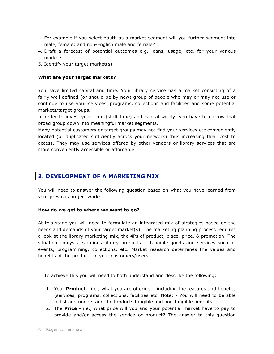For example if you select Youth as a market segment will you further segment into male, female; and non-English male and female?

- 4. Draft a forecast of potential outcomes e.g. loans, usage, etc. for your various markets.
- 5. Identify your target market(s)

#### **What are your target markets?**

You have limited capital and time. Your library service has a market consisting of a fairly well defined (or should be by now) group of people who may or may not use or continue to use your services, programs, collections and facilities and some potential markets/target groups.

In order to invest your time (staff time) and capital wisely, you have to narrow that broad group down into meaningful market segments.

Many potential customers or target groups may not find your services etc conveniently located (or duplicated sufficiently across your network) thus increasing their cost to access. They may use services offered by other vendors or library services that are more conveniently accessible or affordable.

## **3. DEVELOPMENT OF A MARKETING MIX**

You will need to answer the following question based on what you have learned from your previous project work:

#### **How do we get to where we want to go?**

At this stage you will need to formulate an integrated mix of strategies based on the needs and demands of your target market(s). The marketing planning process requires a look at the library marketing mix, the 4Ps of product, place, price, & promotion. The situation analysis examines library products -- tangible goods and services such as events, programming, collections, etc. Market research determines the values and benefits of the products to your customers/users.

To achieve this you will need to both understand and describe the following:

- 1. Your **Product** i.e., what you are offering including the features and benefits (services, programs, collections, facilities etc. Note: - You will need to be able to list and understand the Products tangible and non-tangible benefits.
- 2. The **Price** i.e., what price will you and your potential market have to pay to provide and/or access the service or product? The answer to this question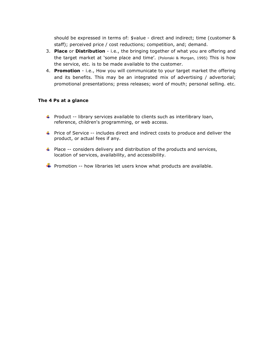should be expressed in terms of: \$value - direct and indirect; time (customer & staff); perceived price / cost reductions; competition, and; demand.

- 3. **Place** or **Distribution** i.e., the bringing together of what you are offering and the target market at 'some place and time'. (Polonski & Morgan, 1995) This is how the service, etc. is to be made available to the customer.
- 4. **Promotion** i.e., How you will communicate to your target market the offering and its benefits. This may be an integrated mix of advertising / advertorial; promotional presentations; press releases; word of mouth; personal selling. etc.

#### **The 4 Ps at a glance**

- **Product -- library services available to clients such as interlibrary loan,** reference, children's programming, or web access.
- **Price of Service -- includes direct and indirect costs to produce and deliver the** product, or actual fees if any.
- $\ddot{\phantom{1}}$  Place -- considers delivery and distribution of the products and services, location of services, availability, and accessibility.
- **Promotion -- how libraries let users know what products are available.**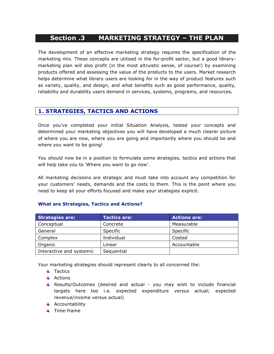# **Section .3 MARKETING STRATEGY – THE PLAN**

The development of an effective marketing strategy requires the specification of the marketing mix. These concepts are utilised in the for-profit sector, but a good librarymarketing plan will also profit (in the most altruistic sense, of course!) by examining products offered and assessing the value of the products to the users. Market research helps determine what library users are looking for in the way of product features such as variety, quality, and design, and what benefits such as good performance, quality, reliability and durability users demand in services, systems, programs, and resources.

## **1. STRATEGIES, TACTICS AND ACTIONS**

Once you've completed your initial Situation Analysis, tested your concepts and determined your marketing objectives you will have developed a much clearer picture of where you are now, where you are going and importantly where you should be and where you want to be going!

You should now be in a position to formulate some strategies, tactics and actions that will help take you to 'Where you want to go now'.

All marketing decisions are strategic and must take into account any competition for your customers' needs, demands and the costs to them. This is the point where you need to keep all your efforts focused and make your strategies explicit.

| <b>Strategies are:</b>   | <b>Tactics are:</b> | <b>Actions are:</b> |
|--------------------------|---------------------|---------------------|
| Conceptual               | Concrete            | Measurable          |
| General                  | Specific            | Specific            |
| Complex                  | Individual          | Costed              |
| Organic                  | Linear              | Accountable         |
| Interactive and systemic | Sequential          |                     |

#### **What are Strategies, Tactics and Actions?**

Your marketing strategies should represent clearly to all concerned the:

- $\ddagger$  Tactics
- $\overline{\phantom{a}}$  Actions
- **Results/Outcomes (desired and actual you may wish to include financial** targets here too i.e. expected expenditure versus actual; expected revenue/income versus actual)
- $\overline{\phantom{a}}$  Accountability
- $\ddot{\bullet}$  Time-frame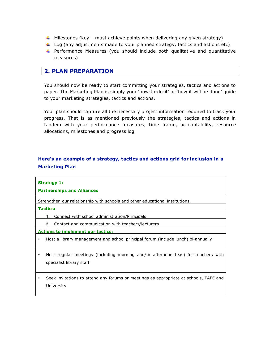- $\ddotmark$  Milestones (key must achieve points when delivering any given strategy)
- $\downarrow$  Log (any adjustments made to your planned strategy, tactics and actions etc)
- $\uparrow$  Performance Measures (you should include both qualitative and quantitative measures)

## **2. PLAN PREPARATION**

You should now be ready to start committing your strategies, tactics and actions to paper. The Marketing Plan is simply your 'how-to-do-it' or 'how it will be done' guide to your marketing strategies, tactics and actions.

Your plan should capture all the necessary project information required to track your progress. That is as mentioned previously the strategies, tactics and actions in tandem with your performance measures, time frame, accountability, resource allocations, milestones and progress log.

## **Here's an example of a strategy, tactics and actions grid for inclusion in a Marketing Plan**

| <b>Strategy 1:</b><br><b>Partnerships and Alliances</b>                                                       |
|---------------------------------------------------------------------------------------------------------------|
| Strengthen our relationship with schools and other educational institutions                                   |
| <b>Tactics:</b>                                                                                               |
| Connect with school administration/Principals<br>1.                                                           |
| 2. Contact and communication with teachers/lecturers                                                          |
| <b>Actions to implement our tactics:</b>                                                                      |
| Host a library management and school principal forum (include lunch) bi-annually                              |
| Host regular meetings (including morning and/or afternoon teas) for teachers with<br>specialist library staff |
| Seek invitations to attend any forums or meetings as appropriate at schools, TAFE and<br>University           |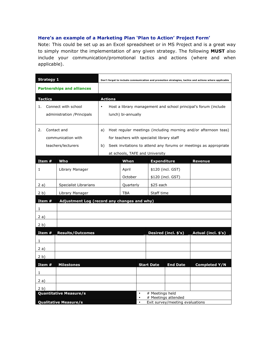#### **Here's an example of a Marketing Plan 'Plan to Action' Project Form'**

Note: This could be set up as an Excel spreadsheet or in MS Project and is a great way to simply monitor the implementation of any given strategy. The following **MUST** also include your communication/promotional tactics and actions (where and when applicable).

| <b>Strategy 1</b> |                                   | Don't forget to include communication and promotion strategies, tactics and actions where applicable |                                            |                    |                      |                                                                  |
|-------------------|-----------------------------------|------------------------------------------------------------------------------------------------------|--------------------------------------------|--------------------|----------------------|------------------------------------------------------------------|
|                   | <b>Partnerships and alliances</b> |                                                                                                      |                                            |                    |                      |                                                                  |
| <b>Tactics</b>    |                                   | <b>Actions</b>                                                                                       |                                            |                    |                      |                                                                  |
| 1.                | Connect with school               | $\bullet$                                                                                            |                                            |                    |                      | Host a library management and school principal's forum (include  |
|                   | administration / Principals       |                                                                                                      | lunch) bi-annually                         |                    |                      |                                                                  |
|                   |                                   |                                                                                                      |                                            |                    |                      |                                                                  |
| 2.                | Contact and                       | a)                                                                                                   |                                            |                    |                      | Host regular meetings (including morning and/or afternoon teas)  |
|                   | communication with                |                                                                                                      | for teachers with specialist library staff |                    |                      |                                                                  |
|                   | teachers/lecturers                | b)                                                                                                   |                                            |                    |                      | Seek invitations to attend any forums or meetings as appropriate |
|                   |                                   |                                                                                                      | at schools, TAFE and University            |                    |                      |                                                                  |
| Item #            | Who                               |                                                                                                      | When                                       | <b>Expenditure</b> |                      | <b>Revenue</b>                                                   |
| 1                 | Library Manager                   |                                                                                                      | April                                      |                    | \$120 (incl. GST)    |                                                                  |
|                   |                                   |                                                                                                      | October                                    |                    | \$120 (incl. GST)    |                                                                  |
| 2 a)              | <b>Specialist Librarians</b>      |                                                                                                      | Quarterly                                  | \$25 each          |                      |                                                                  |
| 2 <sub>b</sub>    | Library Manager                   |                                                                                                      | <b>TBA</b>                                 |                    | Staff time           |                                                                  |
| Item#             |                                   | Adjustment Log (record any changes and why)                                                          |                                            |                    |                      |                                                                  |
| 1                 |                                   |                                                                                                      |                                            |                    |                      |                                                                  |
| 2a)               |                                   |                                                                                                      |                                            |                    |                      |                                                                  |
| 2 <sub>b</sub>    |                                   |                                                                                                      |                                            |                    |                      |                                                                  |
| Item#             | <b>Results/Outcomes</b>           |                                                                                                      |                                            |                    | Desired (incl. \$'s) | Actual (incl. \$'s)                                              |
| 1                 |                                   |                                                                                                      |                                            |                    |                      |                                                                  |
| 2a)               |                                   |                                                                                                      |                                            |                    |                      |                                                                  |
| 2 <sub>b</sub>    |                                   |                                                                                                      |                                            |                    |                      |                                                                  |
| Item $#$          | <b>Milestones</b>                 |                                                                                                      |                                            | <b>Start Date</b>  | <b>End Date</b>      | <b>Completed Y/N</b>                                             |
| 1                 |                                   |                                                                                                      |                                            |                    |                      |                                                                  |
| 2a)               |                                   |                                                                                                      |                                            |                    |                      |                                                                  |
| 2 <sub>b</sub>    |                                   |                                                                                                      |                                            |                    |                      |                                                                  |
|                   | Quantitative Measure/s            | # Meetings held<br>$\bullet$<br># Meetings attended<br>$\bullet$                                     |                                            |                    |                      |                                                                  |
|                   | <b>Qualitative Measure/s</b>      | Exit survey/meeting evaluations<br>$\bullet$                                                         |                                            |                    |                      |                                                                  |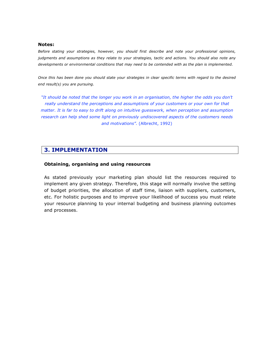#### **Notes:**

*Before stating your strategies, however, you should first describe and note your professional opinions, judgments and assumptions as they relate to your strategies, tactic and actions. You should also note any developments or environmental conditions that may need to be contended with as the plan is implemented.* 

*Once this has been done you should state your strategies in clear specific terms with regard to the desired end result(s) you are pursuing.*

*"It should be noted that the longer you work in an organisation, the higher the odds you don't really understand the perceptions and assumptions of your customers or your own for that matter. It is far to easy to drift along on intuitive guesswork, when perception and assumption research can help shed some light on previously undiscovered aspects of the customers needs and motivations".* (Albrecht, 1992)

## **3. IMPLEMENTATION**

#### **Obtaining, organising and using resources**

As stated previously your marketing plan should list the resources required to implement any given strategy. Therefore, this stage will normally involve the setting of budget priorities, the allocation of staff time, liaison with suppliers, customers, etc. For holistic purposes and to improve your likelihood of success you must relate your resource planning to your internal budgeting and business planning outcomes and processes.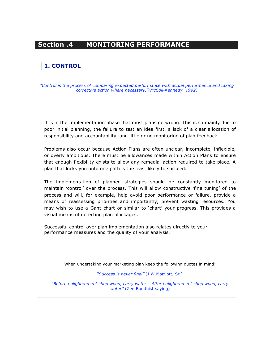# **Section .4 MONITORING PERFORMANCE**

## **1. CONTROL**

*"Control is the process of comparing expected performance with actual performance and taking corrective action where necessary."(McColl-Kennedy, 1992)*

It is in the Implementation phase that most plans go wrong. This is so mainly due to poor initial planning, the failure to test an idea first, a lack of a clear allocation of responsibility and accountability, and little or no monitoring of plan feedback.

Problems also occur because Action Plans are often unclear, incomplete, inflexible, or overly ambitious. There must be allowances made within Action Plans to ensure that enough flexibility exists to allow any remedial action required to take place. A plan that locks you onto one path is the least likely to succeed.

The implementation of planned strategies should be constantly monitored to maintain 'control' over the process. This will allow constructive 'fine tuning' of the process and will, for example, help avoid poor performance or failure, provide a means of reassessing priorities and importantly, prevent wasting resources. You may wish to use a Gant chart or similar to 'chart' your progress. This provides a visual means of detecting plan blockages.

Successful control over plan implementation also relates directly to your performance measures and the quality of your analysis.

When undertaking your marketing plan keep the following quotes in mind:

*"Success is never final"* (J.W.Marriott, Sr.)

*"Before enlightenment chop wood, carry water – After enlightenment chop wood, carry water"* (Zen Buddhist saying)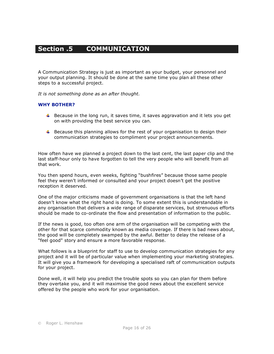# **Section .5 COMMUNICATION**

A Communication Strategy is just as important as your budget, your personnel and your output planning. It should be done at the same time you plan all these other steps to a successful project.

*It is not something done as an after thought.* 

#### **WHY BOTHER?**

- Because in the long run, it saves time, it saves aggravation and it lets you get on with providing the best service you can.
- $\ddot{\phantom{1}}$  Because this planning allows for the rest of your organisation to design their communication strategies to compliment your project announcements.

How often have we planned a project down to the last cent, the last paper clip and the last staff-hour only to have forgotten to tell the very people who will benefit from all that work.

You then spend hours, even weeks, fighting "bushfires" because those same people feel they weren't informed or consulted and your project doesn't get the positive reception it deserved.

One of the major criticisms made of government organisations is that the left hand doesn't know what the right hand is doing. To some extent this is understandable in any organisation that delivers a wide range of disparate services, but strenuous efforts should be made to co-ordinate the flow and presentation of information to the public.

If the news is good, too often one arm of the organisation will be competing with the other for that scarce commodity known as media coverage. If there is bad news about, the good will be completely swamped by the awful. Better to delay the release of a "feel good" story and ensure a more favorable response.

What follows is a blueprint for staff to use to develop communication strategies for any project and it will be of particular value when implementing your marketing strategies. It will give you a framework for developing a specialised raft of communication outputs for your project.

Done well, it will help you predict the trouble spots so you can plan for them before they overtake you, and it will maximise the good news about the excellent service offered by the people who work for your organisation.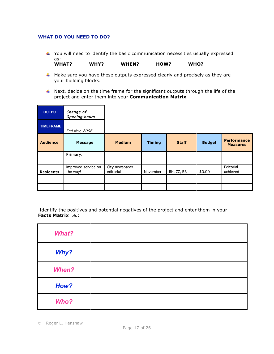#### **WHAT DO YOU NEED TO DO?**

- $\uparrow$  You will need to identify the basic communication necessities usually expressed as: -<br>WHAT? WHY? WHEN? HOW? WHO?
- $\uparrow$  Make sure you have these outputs expressed clearly and precisely as they are your building blocks.
- $\ddot{+}$  Next, decide on the time frame for the significant outputs through the life of the project and enter them into your **Communication Matrix**.

| <b>OUTPUT</b>    | Change of<br><b>Opening hours</b> |                             |               |              |               |                                       |
|------------------|-----------------------------------|-----------------------------|---------------|--------------|---------------|---------------------------------------|
| <b>TIMEFRAME</b> | End Nov, 2006                     |                             |               |              |               |                                       |
| <b>Audience</b>  | <b>Message</b>                    | <b>Medium</b>               | <b>Timing</b> | <b>Staff</b> | <b>Budget</b> | <b>Performance</b><br><b>Measures</b> |
|                  | Primary:                          |                             |               |              |               |                                       |
| <b>Residents</b> | Improved service on<br>the way!   | City newspaper<br>editorial | November      | RH, ZZ, BB   | \$0.00        | Editorial<br>achieved                 |
|                  |                                   |                             |               |              |               |                                       |
|                  |                                   |                             |               |              |               |                                       |

 Identify the positives and potential negatives of the project and enter them in your **Facts Matrix** i.e.:

| <b>What?</b> |  |
|--------------|--|
| Why?         |  |
| <b>When?</b> |  |
| How?         |  |
| Who?         |  |

Roger L. Henshaw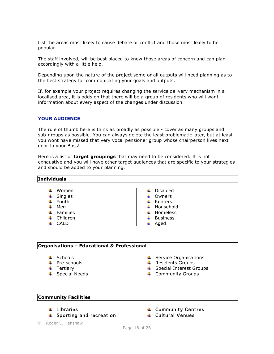List the areas most likely to cause debate or conflict and those most likely to be popular.

The staff involved, will be best placed to know those areas of concern and can plan accordingly with a little help.

Depending upon the nature of the project some or all outputs will need planning as to the best strategy for communicating your goals and outputs.

If, for example your project requires changing the service delivery mechanism in a localised area, it is odds on that there will be a group of residents who will want information about every aspect of the changes under discussion.

#### **YOUR AUDIENCE**

**Individuals**

The rule of thumb here is think as broadly as possible - cover as many groups and sub-groups as possible. You can always delete the least problematic later, but at least you wont have missed that very vocal pensioner group whose chairperson lives next door to your Boss!

Here is a list of **target groupings** that may need to be considered. It is not exhaustive and you will have other target audiences that are specific to your strategies and should be added to your planning.

| .                    |                            |
|----------------------|----------------------------|
|                      |                            |
| Women                | Disabled                   |
| Singles<br>÷         | Owners<br>÷                |
| Youth<br>۰.          | $\leftarrow$ Renters       |
| Men<br>÷             | $\ddot{\bullet}$ Household |
| <b>Families</b><br>÷ | Homeless<br>÷.             |
| Children<br>÷        | <b>Business</b><br>÷       |
| CALD                 | Aged<br>÷                  |
|                      |                            |

#### **Organisations – Educational & Professional**

| Schools |  |
|---------|--|
|         |  |

- 
- 
- 
- $\leftarrow$  Service Organisations
- $\downarrow$  Pre-schools  $\downarrow$  Residents Groups
- $\overline{\phantom{a}}$  Tertiary  $\overline{\phantom{a}}$  Special Interest Groups
- $\downarrow$  Special Needs  $\downarrow$  Community Groups

#### **Community Facilities**

- 
- $\downarrow$  Sporting and recreation  $\downarrow$   $\downarrow$  Cultural Venues
- $\downarrow$  Libraries  $\downarrow$  Community Centres
- Roger L. Henshaw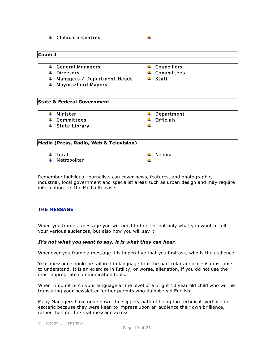|  |  | $\leftarrow$ Childcare Centres |
|--|--|--------------------------------|
|--|--|--------------------------------|

#### **Council**

- $\downarrow$  General Managers  $\downarrow$   $\downarrow$  Councillors
- ↓ Directors 
→ Committees
- $\downarrow$  Managers / Department Heads  $\downarrow$  + Staff
- Mayors/Lord Mayors

÷

- 
- 
- 

#### **State & Federal Government**

- 
- $\downarrow$  Committees  $\downarrow$  Officials
- $\ddag$  State Library

 $\downarrow$  Minister  $\downarrow$  Department

#### **Media (Press, Radio, Web & Television)**

- $\downarrow$  Local  $\downarrow$  National
- $\downarrow$  Metropolitan

÷

Remember individual journalists can cover news, features, and photographic, industrial, local government and specialist areas such as urban design and may require information i.e. the Media Release.

#### **THE MESSAGE**

When you frame a message you will need to think of not only what you want to tell your various audiences, but also how you will say it.

#### *It's not what you want to say, it is what they can hear.*

Whenever you frame a message it is imperative that you first ask, who is the audience.

Your message should be tailored in language that the particular audience is most able to understand. It is an exercise in futility, or worse, alienation, if you do not use the most appropriate communication tools.

When in doubt pitch your language at the level of a bright 10 year old child who will be translating your newsletter for her parents who do not read English.

Many Managers have gone down the slippery path of being too technical, verbose or esoteric because they were keen to impress upon an audience their own brilliance, rather than get the real message across.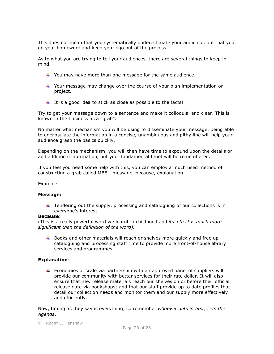This does not mean that you systematically underestimate your audience, but that you do your homework and keep your ego out of the process.

As to what you are trying to tell your audiences, there are several things to keep in mind.

- $\ddot{\phantom{1}}$  You may have more than one message for the same audience.
- $\ddot{\bullet}$  Your message may change over the course of your plan implementation or project.
- $\ddot{\phantom{1}}$  It is a good idea to stick as close as possible to the facts!

Try to get your message down to a sentence and make it colloquial and clear. This is known in the business as a "grab".

No matter what mechanism you will be using to disseminate your message, being able to encapsulate the information in a concise, unambiguous and pithy line will help your audience grasp the basics quickly.

Depending on the mechanism, you will then have time to expound upon the details or add additional information, but your fundamental tenet will be remembered.

If you feel you need some help with this, you can employ a much used method of constructing a grab called MBE - message, because, explanation.

#### Example

#### **Message:**

 $\ddot{\phantom{1}}$  Tendering out the supply, processing and cataloguing of our collections is in everyone's interest

#### **Because**:

(This is a really powerful word we learnt in childhood and *its' effect is much more significant than the definition of the word).*

 $\ddot{\bullet}$  Books and other materials will reach or shelves more quickly and free up cataloguing and processing staff time to provide more front-of-house library services and programmes.

#### **Explanation**:

 $\ddot{\phantom{1}}$  Economies of scale via partnership with an approved panel of suppliers will provide our community with better services for their rate dollar. It will also ensure that new release materials reach our shelves on or before their official release date via bookshops; and that our staff provide up to date profiles that detail our collection needs and monitor them and our supply more effectively and efficiently.

Now, timing as they say is everything, so remember *whoever gets in first, sets the Agenda.*

Roger L. Henshaw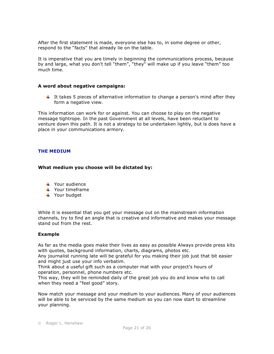After the first statement is made, everyone else has to, in some degree or other, respond to the "facts" that already lie on the table.

It is imperative that you are timely in beginning the communications process, because by and large, what you don't tell "them", "they" will make up if you leave "them" too much time.

#### **A word about negative campaigns:**

It takes 5 pieces of alternative information to change a person's mind after they form a negative view.

This information can work for or against. You can choose to play on the negative message tightrope. In the past Government at all levels, have been reluctant to venture down this path. It is not a strategy to be undertaken lightly, but is does have a place in your communications armory.

#### **THE MEDIUM**

#### **What medium you choose will be dictated by:**

- **↓** Your audience
- $\frac{1}{\sqrt{2}}$  Your timeframe
- Your budget

While it is essential that you get your message out on the mainstream information channels, try to find an angle that is creative and informative and makes your message stand out from the rest.

#### **Example**

As far as the media goes make their lives as easy as possible Always provide press kits with quotes, background information, charts, diagrams, photos etc.

Any journalist running late will be grateful for you making their job just that bit easier and might just use your info verbatim.

Think about a useful gift such as a computer mat with your project's hours of operation, personnel, phone numbers etc.

This way, they will be reminded daily of the great job you do and know who to call when they need a "feel good" story.

Now match your message and your medium to your audiences. Many of your audiences will be able to be serviced by the same medium so you can now start to streamline your planning.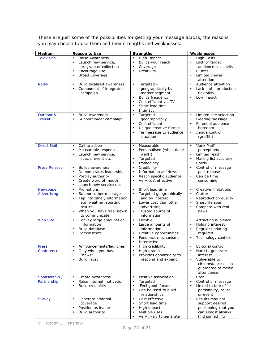These are just some of the possibilities for getting your message across, the reasons you may choose to use them and their strengths and weaknesses:

| <b>Medium</b>                | <b>Reason to Use</b>                                                                                                                                                                           | <b>Strengths</b>                                                                                                                                                                              | Weaknesses                                                                                                                                        |
|------------------------------|------------------------------------------------------------------------------------------------------------------------------------------------------------------------------------------------|-----------------------------------------------------------------------------------------------------------------------------------------------------------------------------------------------|---------------------------------------------------------------------------------------------------------------------------------------------------|
| <b>Television</b>            | Raise Awareness<br>Launch new service,<br>$\bullet$<br>program or collection<br>Encourage Use<br>$\bullet$<br><b>Broad Coverage</b><br>$\bullet$                                               | High Impact<br>$\bullet$<br>Builds your reach<br>$\bullet$<br>Coverage<br>$\bullet$<br>Creativity                                                                                             | <b>High Costs</b><br>Lack of target<br>$\bullet$<br>audience selectivity<br>Clutter<br>$\bullet$<br>Limited viewer<br>$\bullet$<br>attention      |
| Radio                        | Build localised awareness<br>$\bullet$<br>Component of integrated<br>$\bullet$<br>campaign                                                                                                     | Targeted -<br>$\bullet$<br>geographically by<br>market segment<br><b>Builds frequency</b><br>$\bullet$<br>Cost efficient vs. TV<br>$\bullet$<br>Short lead time<br>Intimacy<br>$\bullet$      | Audience attention<br>$\bullet$<br>Lack of production<br>$\bullet$<br>flexibility<br>Low impact<br>$\bullet$                                      |
| Outdoor &<br><b>Transit</b>  | <b>Build Awareness</b><br>$\bullet$<br>Support wider campaign<br>$\bullet$                                                                                                                     | Targeted -<br>$\bullet$<br>geographically<br>Cost efficient<br>$\bullet$<br>Unique creative format<br>$\bullet$<br>Tie message to audience<br>situation                                       | Limited site selection<br>$\bullet$<br>Fleeting message<br>$\bullet$<br>Potential audience<br>boredom<br>Image control<br>$\bullet$<br>(graffiti) |
| <b>Direct Mail</b>           | Call to action<br>$\bullet$<br>Measurable response<br>$\bullet$<br>Launch new service,<br>special event etc                                                                                    | Measurable<br>$\bullet$<br>Personalised (when done<br>$\bullet$<br>well!!)<br>Targeted<br>$\bullet$<br>Immediacy<br>$\bullet$                                                                 | 'Junk Mail'<br>$\bullet$<br>perceptions<br>Limited reach<br>$\bullet$<br>Mailing list accuracy<br>Costly<br>$\bullet$                             |
| <b>Press Release</b>         | <b>Builds awareness</b><br>$\bullet$<br>Demonstrates leadership<br>$\bullet$<br>Portray authority<br>$\bullet$<br>Create word of mouth<br>$\bullet$<br>Launch new service etc<br>$\bullet$     | Credibility<br>$\bullet$<br>Information as 'News'<br>$\bullet$<br>Reach specific audience<br>$\bullet$<br>Very cost effective<br>$\bullet$                                                    | Control of message<br>$\bullet$<br>post release<br>Can be time<br>$\bullet$<br>consuming                                                          |
| Newspaper<br>Advertising     | Promotions<br>$\bullet$<br>Support other messages<br>$\bullet$<br>Tap into timely information<br>$\bullet$<br>e.g. weather, sporting<br>results<br>When you have 'real news'<br>to communicate | Short lead time<br>$\bullet$<br>Targeted geographically<br>$\bullet$<br>and by interest<br>Lower cost than other<br>$\bullet$<br>advertising<br>Trusted source of<br>$\bullet$<br>information | Creative limitations<br>$\bullet$<br>Clutter<br>$\bullet$<br>Reproduction quality<br>$\bullet$<br>Short life span<br>Compete with real<br>news    |
| <b>Web Site</b>              | Convey large amounts of<br>$\bullet$<br>information<br>Build database<br>$\bullet$<br>Demonstrate<br>٠                                                                                         | Flexible<br>$\bullet$<br>Large amounts of<br>$\bullet$<br>information<br>Creative opportunities<br>$\bullet$<br>Feedback mechanisms<br>$\bullet$<br>Interactive<br>$\bullet$                  | Attracting audience<br>$\bullet$<br>Holding interest<br>$\bullet$<br>Regular updating<br>$\bullet$<br>required<br>Technology conflicts            |
| <b>Press</b><br>Conference   | Announcements/launches<br>$\bullet$<br>Only when you have<br>"news"<br><b>Build Trust</b>                                                                                                      | High credibility<br>$\bullet$<br>High drama<br>Provides opportunity to<br>respond and expand                                                                                                  | Editorial control<br>$\bullet$<br>Hard to generate<br>interest<br>Vulnerable to<br>circumstances - no<br>quarantee of media<br>attendance         |
| Sponsorship /<br>Partnership | Create awareness<br>$\bullet$<br>Raise internal motivation<br>$\bullet$<br>Build credibility<br>$\bullet$                                                                                      | Positive association<br>$\bullet$<br>Targeted<br>$\bullet$<br>'Feel good' factor<br>Can be used to build<br>$\bullet$<br>relationships                                                        | $\bullet$<br>Cost<br>Control of message<br>$\bullet$<br>Linked to fate of<br>personality, cause<br>or event                                       |
| <b>Survey</b>                | Generate editorial<br>$\bullet$<br>coverage<br>Position as leader<br>$\bullet$<br>Build authority<br>٠                                                                                         | Cost effective<br>$\bullet$<br>Short lead time<br>$\bullet$<br>High impact<br>$\bullet$<br>Multiple uses<br>Very likely to generate                                                           | Results may not<br>$\bullet$<br>support desired<br>positioning (but you<br>can almost always<br>find something                                    |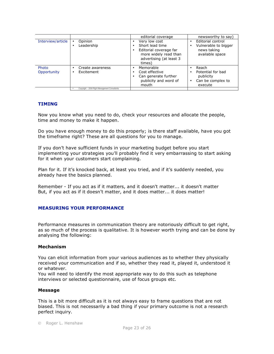|                      |                                               | editorial coverage                                                                                                       | newsworthy to say)                                                           |
|----------------------|-----------------------------------------------|--------------------------------------------------------------------------------------------------------------------------|------------------------------------------------------------------------------|
| Interview/article    | Opinion<br>٠<br>Leadership                    | Very low cost<br>Short lead time<br>Editorial coverage far<br>more widely read than<br>advertising (at least 3<br>times) | Editorial control<br>Vulnerable to bigger<br>news taking<br>available space  |
| Photo<br>Opportunity | Create awareness<br>Excitement                | Memorable<br>Cost effective<br>Can generate further<br>publicity and word of<br>mouth                                    | Reach<br>Potential for bad<br>publicity<br>Can be complex to<br>٠<br>execute |
|                      | Copyright - 2004 Right Management Consultants |                                                                                                                          |                                                                              |

#### **TIMING**

Now you know what you need to do, check your resources and allocate the people, time and money to make it happen.

Do you have enough money to do this properly; is there staff available, have you got the timeframe right? These are all questions for you to manage.

If you don't have sufficient funds in your marketing budget before you start implementing your strategies you'll probably find it very embarrassing to start asking for it when your customers start complaining.

Plan for it. If it's knocked back, at least you tried, and if it's suddenly needed, you already have the basics planned.

Remember - If you act as if it matters, and it doesn't matter... it doesn't matter But, if you act as if it doesn't matter, and it does matter... it does matter!

#### **MEASURING YOUR PERFORMANCE**

Performance measures in communication theory are notoriously difficult to get right, as so much of the process is qualitative. It is however worth trying and can be done by analysing the following:

#### **Mechanism**

You can elicit information from your various audiences as to whether they physically received your communication and if so, whether they read it, played it, understood it or whatever.

You will need to identify the most appropriate way to do this such as telephone interviews or selected questionnaire, use of focus groups etc.

#### **Message**

This is a bit more difficult as it is not always easy to frame questions that are not biased. This is not necessarily a bad thing if your primary outcome is not a research perfect inquiry.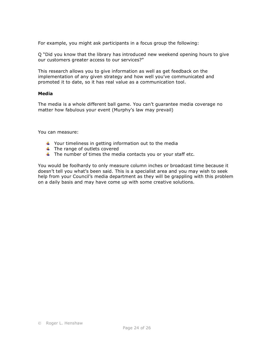For example, you might ask participants in a focus group the following:

Q "Did you know that the library has introduced new weekend opening hours to give our customers greater access to our services?"

This research allows you to give information as well as get feedback on the implementation of any given strategy and how well you've communicated and promoted it to date, so it has real value as a communication tool.

#### **Media**

The media is a whole different ball game. You can't guarantee media coverage no matter how fabulous your event (Murphy's law may prevail)

You can measure:

- $\ddot{\phantom{1}}$  Your timeliness in getting information out to the media
- $\ddot{\phantom{1}}$  The range of outlets covered
- $\ddot{+}$  The number of times the media contacts you or your staff etc.

You would be foolhardy to only measure column inches or broadcast time because it doesn't tell you what's been said. This is a specialist area and you may wish to seek help from your Council's media department as they will be grappling with this problem on a daily basis and may have come up with some creative solutions.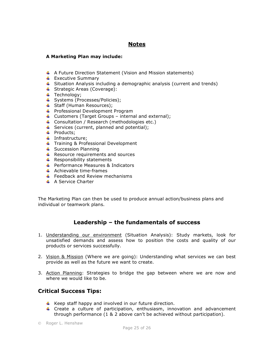## **Notes**

#### **A Marketing Plan may include:**

- $\uparrow$  A Future Direction Statement (Vision and Mission statements)
- $\leftarrow$  Executive Summary
- **Situation Analysis including a demographic analysis (current and trends)**
- Strategic Areas (Coverage):
- $\ddagger$  Technology;
- Systems (Processes/Policies);
- Staff (Human Resources);
- **+** Professional Development Program
- $\downarrow$  Customers (Target Groups internal and external);
- Consultation / Research (methodologies etc.)
- $\downarrow$  Services (current, planned and potential);
- $\downarrow$  Products;
- $\ddot$  Infrastructure;
- Training & Professional Development
- $\leftarrow$  Succession Planning
- $\downarrow$  Resource requirements and sources
- $\leftarrow$  Responsibility statements
- $\leftarrow$  Performance Measures & Indicators
- $\leftarrow$  Achievable time-frames
- $\pm$  Feedback and Review mechanisms
- $\overline{\phantom{a}}$  A Service Charter

The Marketing Plan can then be used to produce annual action/business plans and individual or teamwork plans.

## **Leadership – the fundamentals of success**

- 1. Understanding our environment (Situation Analysis): Study markets, look for unsatisfied demands and assess how to position the costs and quality of our products or services successfully.
- 2. Vision & Mission (Where we are going): Understanding what services we can best provide as well as the future we want to create.
- 3. Action Planning: Strategies to bridge the gap between where we are now and where we would like to be.

## **Critical Success Tips:**

- $\uparrow$  Keep staff happy and involved in our future direction.
- F Create a culture of participation, enthusiasm, innovation and advancement through performance (1 & 2 above can't be achieved without participation).
- Roger L. Henshaw